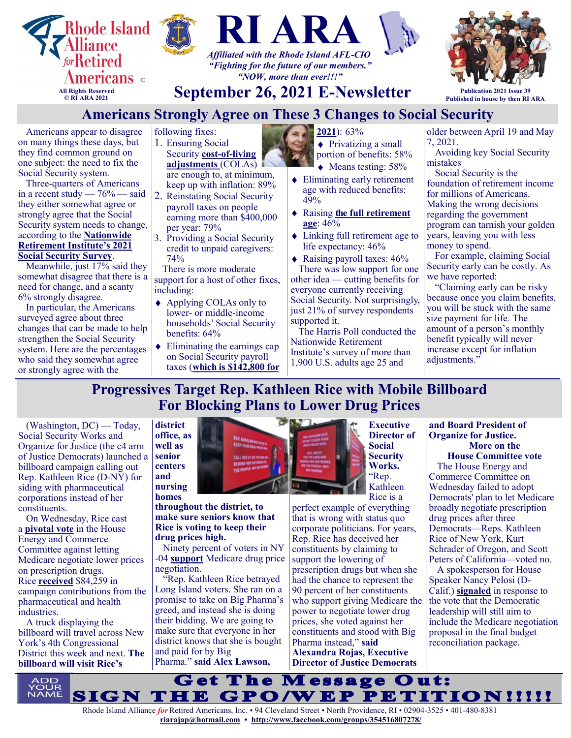

Americans appear to disagree on many things these days, but they find common ground on one subject: the need to fix the Social Security system.

Three-quarters of Americans in a recent study — 76% — said they either somewhat agree or strongly agree that the Social Security system needs to change, according to the **[Nationwide](https://nationwidefinancial.com/media/pdf/NFM-20936AO.pdf)  [Retirement Institute's 2021](https://nationwidefinancial.com/media/pdf/NFM-20936AO.pdf)  [Social Security Survey](https://nationwidefinancial.com/media/pdf/NFM-20936AO.pdf)**.

Meanwhile, just 17% said they somewhat disagree that there is a need for change, and a scanty 6% strongly disagree.

In particular, the Americans surveyed agree about three changes that can be made to help strengthen the Social Security system. Here are the percentages who said they somewhat agree or strongly agree with the

- benefits: 64%
- Eliminating the earnings cap on Social Security payroll taxes (**[which is \\$142,800 for](https://www.moneytalksnews.com/3-ways-social-security-will-change-in-2019/)**

Nationwide Retirement Institute's survey of more than 1,900 U.S. adults age 25 and

benefit typically will never increase except for inflation adjustments."

**and Board President of Organize for Justice.**

**More on the House Committee vote** The House Energy and

# **Progressives Target Rep. Kathleen Rice with Mobile Billboard For Blocking Plans to Lower Drug Prices**

(Washington, DC) — Today, Social Security Works and Organize for Justice (the c4 arm of Justice Democrats) launched a billboard campaign calling out Rep. Kathleen Rice (D-NY) for siding with pharmaceutical corporations instead of her constituents.

On Wednesday, Rice cast a **[pivotal vote](https://www.politico.com/news/2021/09/15/centrist-democrats-drug-pricing-511955)** in the House Energy and Commerce Committee against letting Medicare negotiate lower prices on prescription drugs. Rice **[received](https://www.opensecrets.org/industries/summary.php?ind=H04&cycle=All&recipdetail=H&sortorder=N&mem=Y&page=10)** \$84,259 in campaign contributions from the pharmaceutical and health industries.

A truck displaying the billboard will travel across New York's 4th Congressional District this week and next. **The billboard will visit Rice's** 



#### **throughout the district, to make sure seniors know that Rice is voting to keep their drug prices high.**

Ninety percent of voters in NY -04 **[support](https://twitter.com/ProtectOurCare/status/1437780974159421444)** Medicare drug price negotiation.

"Rep. Kathleen Rice betrayed Long Island voters. She ran on a promise to take on Big Pharma's greed, and instead she is doing their bidding. We are going to make sure that everyone in her district knows that she is bought and paid for by Big

Pharma." **said Alex Lawson,** 

support the lowering of

Pharma instead," **said Alexandra Rojas, Executive Director of Justice Democrats** 

power to negotiate lower drug prices, she voted against her constituents and stood with Big

**Executive Director of Social Security Works.** "Rep. Kathleen

Rice is a perfect example of everything that is wrong with status quo corporate politicians. For years, Rep. Rice has deceived her constituents by claiming to prescription drugs but when she had the chance to represent the 90 percent of her constituents who support giving Medicare the Commerce Committee on Wednesday failed to adopt Democrats' plan to let Medicare broadly negotiate prescription drug prices after three Democrats—Reps. Kathleen Rice of New York, Kurt Schrader of Oregon, and Scott Peters of California—voted no. A spokesperson for House Speaker Nancy Pelosi (D-

Calif.) **[signaled](https://twitter.com/JakeSherman/status/1438217222284103684)** in response to the vote that the Democratic leadership will still aim to include the Medicare negotiation proposal in the final budget reconciliation package.

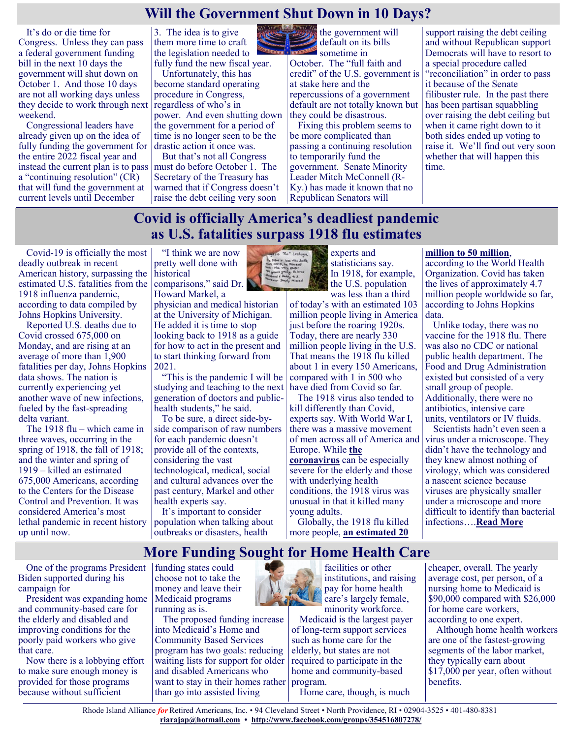# **Will the Government Shut Down in 10 Days?**

It's do or die time for Congress. Unless they can pass a federal government funding bill in the next 10 days the government will shut down on October 1. And those 10 days are not all working days unless they decide to work through next regardless of who's in weekend.

Congressional leaders have already given up on the idea of fully funding the government for the entire 2022 fiscal year and instead the current plan is to pass a "continuing resolution" (CR) that will fund the government at current levels until December

3. The idea is to give them more time to craft the legislation needed to fully fund the new fiscal year.

Unfortunately, this has become standard operating procedure in Congress, power. And even shutting down the government for a period of time is no longer seen to be the drastic action it once was.

But that's not all Congress must do before October 1. The Secretary of the Treasury has warned that if Congress doesn't raise the debt ceiling very soon

 $\frac{1}{2}$  the government will default on its bills sometime in

October. The "full faith and credit" of the U.S. government is at stake here and the repercussions of a government default are not totally known but they could be disastrous.

Fixing this problem seems to be more complicated than passing a continuing resolution to temporarily fund the government. Senate Minority Leader Mitch McConnell (R-Ky.) has made it known that no Republican Senators will

support raising the debt ceiling and without Republican support Democrats will have to resort to a special procedure called "reconciliation" in order to pass it because of the Senate filibuster rule. In the past there has been partisan squabbling over raising the debt ceiling but when it came right down to it both sides ended up voting to raise it. We'll find out very soon whether that will happen this time.

# **Covid is officially America's deadliest pandemic as U.S. fatalities surpass 1918 flu estimates**

Covid-19 is officially the most deadly outbreak in recent American history, surpassing the historical estimated U.S. fatalities from the 1918 influenza pandemic, according to data compiled by Johns Hopkins University.

Reported U.S. deaths due to Covid crossed 675,000 on Monday, and are rising at an average of more than 1,900 fatalities per day, Johns Hopkins data shows. The nation is currently experiencing yet another wave of new infections, fueled by the fast-spreading delta variant.

The 1918 flu – which came in three waves, occurring in the spring of 1918, the fall of 1918; and the winter and spring of 1919 – killed an estimated 675,000 Americans, according to the Centers for the Disease Control and Prevention. It was considered America's most lethal pandemic in recent history up until now.

"I think we are now pretty well done with comparisons," said Dr.

Howard Markel, a physician and medical historian at the University of Michigan. He added it is time to stop looking back to 1918 as a guide for how to act in the present and to start thinking forward from 2021.

"This is the pandemic I will be studying and teaching to the next generation of doctors and publichealth students," he said.

To be sure, a direct side-byside comparison of raw numbers for each pandemic doesn't provide all of the contexts, considering the vast technological, medical, social and cultural advances over the past century, Markel and other health experts say.

It's important to consider population when talking about outbreaks or disasters, health



experts and statisticians say. In 1918, for example, the U.S. population

was less than a third of today's with an estimated 103 million people living in America just before the roaring 1920s. Today, there are nearly 330 million people living in the U.S. That means the 1918 flu killed about 1 in every 150 Americans, compared with 1 in 500 who have died from Covid so far.

The 1918 virus also tended to kill differently than Covid, experts say. With World War I, there was a massive movement of men across all of America and Europe. While **[the](https://www.cnbc.com/coronavirus/)  [coronavirus](https://www.cnbc.com/coronavirus/)** can be especially severe for the elderly and those with underlying health conditions, the 1918 virus was unusual in that it killed many young adults.

Globally, the 1918 flu killed more people, **[an estimated 20](https://www.who.int/influenza/preparedness/pandemic/GIP_PandemicInfluenzaRiskManagementInterimGuidance_Jun2013.pdf?ua=1)** 

#### **[million to 50 million](https://www.who.int/influenza/preparedness/pandemic/GIP_PandemicInfluenzaRiskManagementInterimGuidance_Jun2013.pdf?ua=1)**,

according to the World Health Organization. Covid has taken the lives of approximately 4.7 million people worldwide so far, according to Johns Hopkins data.

Unlike today, there was no vaccine for the 1918 flu. There was also no CDC or national public health department. The Food and Drug Administration existed but consisted of a very small group of people. Additionally, there were no antibiotics, intensive care units, ventilators or IV fluids.

Scientists hadn't even seen a virus under a microscope. They didn't have the technology and they knew almost nothing of virology, which was considered a nascent science because viruses are physically smaller under a microscope and more difficult to identify than bacterial infections….**[Read More](https://www.cnbc.com/2021/09/20/covid-is-americas-deadliest-pandemic-as-us-fatalities-near-1918-flu-estimates.html)**

**More Funding Sought for Home Health Care**

One of the programs President Biden supported during his campaign for

President was expanding home and community-based care for the elderly and disabled and improving conditions for the poorly paid workers who give that care.

Now there is a lobbying effort to make sure enough money is provided for those programs because without sufficient



The proposed funding increase into Medicaid's Home and Community Based Services program has two goals: reducing waiting lists for support for older and disabled Americans who want to stay in their homes rather program. than go into assisted living



facilities or other institutions, and raising pay for home health care's largely female, minority workforce.

Medicaid is the largest payer of long-term support services such as home care for the elderly, but states are not required to participate in the home and community-based

Home care, though, is much

cheaper, overall. The yearly average cost, per person, of a nursing home to Medicaid is \$90,000 compared with \$26,000 for home care workers, according to one expert.

Although home health workers are one of the fastest-growing segments of the labor market, they typically earn about \$17,000 per year, often without benefits.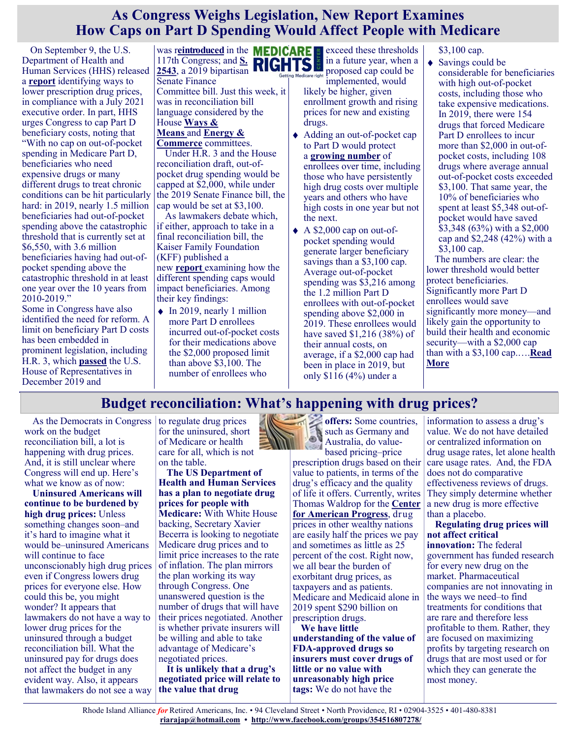# **As Congress Weighs Legislation, New Report Examines How Caps on Part D Spending Would Affect People with Medicare**

On September 9, the U.S. Department of Health and Human Services (HHS) released a **[report](https://aspe.hhs.gov/reports/comprehensive-plan-addressing-high-drug-prices)** identifying ways to lower prescription drug prices, in compliance with a July 2021 executive order. In part, HHS urges Congress to cap Part D beneficiary costs, noting that "With no cap on out-of-pocket spending in Medicare Part D, beneficiaries who need expensive drugs or many different drugs to treat chronic conditions can be hit particularly hard: in 2019, nearly 1.5 million beneficiaries had out-of-pocket spending above the catastrophic threshold that is currently set at \$6,550, with 3.6 million beneficiaries having had out-ofpocket spending above the catastrophic threshold in at least one year over the 10 years from 2010-2019."

Some in Congress have also identified the need for reform. A limit on beneficiary Part D costs has been embedded in prominent legislation, including H.R. 3, which **[passed](https://www.congress.gov/bill/116th-congress/house-bill/3)** the U.S. House of Representatives in December 2019 and

was r**[eintroduced](https://www.congress.gov/bill/117th-congress/house-bill/3)** in the 117th Congress; and **[S.](https://www.congress.gov/bill/116th-congress/senate-bill/2543/)  [2543](https://www.congress.gov/bill/116th-congress/senate-bill/2543/)**, a 2019 bipartisan Senate Finance Committee bill. Just this week, it was in reconciliation bill language considered by the House **[Ways &](https://waysandmeans.house.gov/sites/democrats.waysandmeans.house.gov/files/documents/SUBFGHJ_xml.pdf)  [Means](https://waysandmeans.house.gov/sites/democrats.waysandmeans.house.gov/files/documents/SUBFGHJ_xml.pdf)** and **[Energy &](https://energycommerce.house.gov/sites/democrats.energycommerce.house.gov/files/documents/Memo_FC%20MU_2021.9.9_Final.pdf)  [Commerce](https://energycommerce.house.gov/sites/democrats.energycommerce.house.gov/files/documents/Memo_FC%20MU_2021.9.9_Final.pdf)** committees.

Under H.R. 3 and the House reconciliation draft, out-ofpocket drug spending would be capped at \$2,000, while under the 2019 Senate Finance bill, the cap would be set at \$3,100.

As lawmakers debate which, if either, approach to take in a final reconciliation bill, the Kaiser Family Foundation (KFF) published a new **[report](https://www.kff.org/medicare/issue-brief/potential-savings-for-medicare-part-d-enrollees-under-proposals-to-add-a-hard-cap-on-out-of-pocket-spending/)** examining how the different spending caps would impact beneficiaries. Among their key findings:

 $\bullet$  In 2019, nearly 1 million more Part D enrollees incurred out-of-pocket costs for their medications above the \$2,000 proposed limit than above \$3,100. The number of enrollees who

exceed these thresholds in a future year, when a proposed cap could be implemented, would

likely be higher, given enrollment growth and rising prices for new and existing drugs.

- ◆ Adding an out-of-pocket cap to Part D would protect a **[growing number](https://www.kff.org/medicare/issue-brief/millions-of-medicare-part-d-enrollees-have-had-out-of-pocket-drug-spending-above-the-catastrophic-threshold-over-time/)** of enrollees over time, including those who have persistently high drug costs over multiple years and others who have high costs in one year but not the next.
- A \$2,000 cap on out-ofpocket spending would generate larger beneficiary savings than a \$3,100 cap. Average out-of-pocket spending was \$3,216 among the 1.2 million Part D enrollees with out-of-pocket spending above \$2,000 in 2019. These enrollees would have saved \$1,216 (38%) of their annual costs, on average, if a \$2,000 cap had been in place in 2019, but only \$116 (4%) under a

\$3,100 cap.

 $\triangleleft$  Savings could be considerable for beneficiaries with high out-of-pocket costs, including those who take expensive medications. In 2019, there were 154 drugs that forced Medicare Part D enrollees to incur more than \$2,000 in out-ofpocket costs, including 108 drugs where average annual out-of-pocket costs exceeded \$3,100. That same year, the 10% of beneficiaries who spent at least \$5,348 out-ofpocket would have saved \$3,348 (63%) with a \$2,000 cap and \$2,248 (42%) with a \$3,100 cap.

The numbers are clear: the lower threshold would better protect beneficiaries. Significantly more Part D enrollees would save significantly more money—and likely gain the opportunity to build their health and economic security—with a \$2,000 cap than with a \$3,100 cap.….**[Read](https://www.medicarerights.org/medicare-watch/2021/09/16/as-congress-weighs-legislation-new-report-examines-how-caps-on-part-d-spending-would-affect-people-with-medicare)  [More](https://www.medicarerights.org/medicare-watch/2021/09/16/as-congress-weighs-legislation-new-report-examines-how-caps-on-part-d-spending-would-affect-people-with-medicare)**

# **Budget reconciliation: What's happening with drug prices?**

As the Democrats in Congress to regulate drug prices work on the budget reconciliation bill, a lot is happening with drug prices. And, it is still unclear where Congress will end up. Here's what we know as of now:

**Uninsured Americans will continue to be burdened by high drug prices:** Unless something changes soon–and it's hard to imagine what it would be–uninsured Americans will continue to face unconscionably high drug prices even if Congress lowers drug prices for everyone else. How could this be, you might wonder? It appears that lawmakers do not have a way to lower drug prices for the uninsured through a budget reconciliation bill. What the uninsured pay for drugs does not affect the budget in any evident way. Also, it appears that lawmakers do not see a way

for the uninsured, short of Medicare or health care for all, which is not on the table.

**The US Department of Health and Human Services has a plan to negotiate drug prices for people with Medicare:** With White House backing, Secretary Xavier Becerra is looking to negotiate Medicare drug prices and to limit price increases to the rate of inflation. The plan mirrors the plan working its way through Congress. One unanswered question is the number of drugs that will have their prices negotiated. Another is whether private insurers will be willing and able to take advantage of Medicare's negotiated prices.

**It is unlikely that a drug's negotiated price will relate to the value that drug** 



**offers:** Some countries, such as Germany and Australia, do valuebased pricing–price

prescription drugs based on their value to patients, in terms of the drug's efficacy and the quality of life it offers. Currently, writes Thomas Waldrop for the **[Center](https://www.americanprogress.org/issues/healthcare/reports/2021/09/13/503709/value-based-pricing-prescription-drugs-benefits-patients-promotes-innovation/)  [for American Progress](https://www.americanprogress.org/issues/healthcare/reports/2021/09/13/503709/value-based-pricing-prescription-drugs-benefits-patients-promotes-innovation/)**, drug prices in other wealthy nations are easily half the prices we pay and sometimes as little as 25 percent of the cost. Right now, we all bear the burden of exorbitant drug prices, as taxpayers and as patients. Medicare and Medicaid alone in 2019 spent \$290 billion on prescription drugs. **We have little** 

**understanding of the value of FDA-approved drugs so insurers must cover drugs of little or no value with unreasonably high price tags:** We do not have the

information to assess a drug's value. We do not have detailed or centralized information on drug usage rates, let alone health care usage rates. And, the FDA does not do comparative effectiveness reviews of drugs. They simply determine whether a new drug is more effective than a placebo.

**Regulating drug prices will not affect critical innovation:** The federal government has funded research for every new drug on the market. Pharmaceutical companies are not innovating in the ways we need–to find treatments for conditions that are rare and therefore less profitable to them. Rather, they are focused on maximizing profits by targeting research on drugs that are most used or for which they can generate the most money.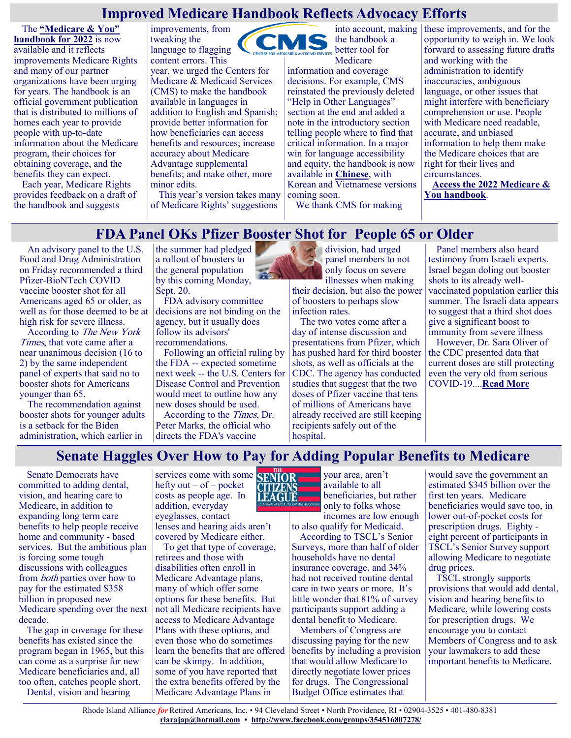#### **Improved Medicare Handbook Reflects Advocacy Efforts**

The **["Medicare & You"](https://www.medicare.gov/Pubs/pdf/10050-Medicare-and-You.pdf)  [handbook for 2022](https://www.medicare.gov/Pubs/pdf/10050-Medicare-and-You.pdf)** is now available and it reflects improvements Medicare Rights and many of our partner organizations have been urging for years. The handbook is an official government publication that is distributed to millions of homes each year to provide people with up-to-date information about the Medicare program, their choices for obtaining coverage, and the benefits they can expect.

Each year, Medicare Rights provides feedback on a draft of the handbook and suggests

improvements, from tweaking the language to flagging content errors. This year, we urged the Centers for Medicare & Medicaid Services (CMS) to make the handbook available in languages in addition to English and Spanish; provide better information for how beneficiaries can access benefits and resources; increase accuracy about Medicare Advantage supplemental benefits; and make other, more minor edits.

This year's version takes many of Medicare Rights' suggestions

the handbook a better tool for Medicare

information and coverage decisions. For example, CMS reinstated the previously deleted "Help in Other Languages" section at the end and added a note in the introductory section telling people where to find that critical information. In a major win for language accessibility and equity, the handbook is now available in **[Chinese](https://www.medicare.gov/forms-help-resources/medicare-you-handbook/download-medicare-you-in-different-formats)**, with Korean and Vietnamese versions coming soon.

We thank CMS for making

into account, making these improvements, and for the opportunity to weigh in. We look forward to assessing future drafts and working with the administration to identify inaccuracies, ambiguous language, or other issues that might interfere with beneficiary comprehension or use. People with Medicare need readable, accurate, and unbiased information to help them make the Medicare choices that are right for their lives and circumstances.

**[Access the 2022 Medicare &](https://www.medicare.gov/Pubs/pdf/10050-Medicare-and-You.pdf)  [You handbook](https://www.medicare.gov/Pubs/pdf/10050-Medicare-and-You.pdf)**.

#### **FDA Panel OKs Pfizer Booster Shot for People 65 or Older**

An advisory panel to the U.S. Food and Drug Administration on Friday recommended a third Pfizer-BioNTech COVID vaccine booster shot for all Americans aged 65 or older, as well as for those deemed to be at high risk for severe illness.

According to The New York Times, that vote came after a near unanimous decision (16 to 2) by the same independent panel of experts that said no to booster shots for Americans younger than 65.

The recommendation against booster shots for younger adults is a setback for the Biden administration, which earlier in

the summer had pledged a rollout of boosters to the general population by this coming Monday, Sept. 20.

FDA advisory committee decisions are not binding on the agency, but it usually does follow its advisors' recommendations.

Following an official ruling by

the FDA -- expected sometime next week -- the U.S. Centers for Disease Control and Prevention would meet to outline how any new doses should be used.

According to the Times, Dr. Peter Marks, the official who directs the FDA's vaccine



division, had urged panel members to not only focus on severe illnesses when making

their decision, but also the power of boosters to perhaps slow infection rates.

The two votes come after a day of intense discussion and presentations from Pfizer, which has pushed hard for third booster shots, as well as officials at the CDC. The agency has conducted studies that suggest that the two doses of Pfizer vaccine that tens of millions of Americans have already received are still keeping recipients safely out of the hospital.

Panel members also heard testimony from Israeli experts. Israel began doling out booster shots to its already wellvaccinated population earlier this summer. The Israeli data appears to suggest that a third shot does give a significant boost to immunity from severe illness

However, Dr. Sara Oliver of the CDC presented data that current doses are still protecting even the very old from serious COVID-19....**[Read More](https://consumer.healthday.com/9-17-fda-panel-oks-pfizer-booster-shot-for-people-65-or-older-but-not-younger-2655057700.html)**

# **Senate Haggles Over How to Pay for Adding Popular Benefits to Medicare**

Senate Democrats have committed to adding dental, vision, and hearing care to Medicare, in addition to expanding long term care benefits to help people receive home and community - based services. But the ambitious plan is forcing some tough discussions with colleagues from both parties over how to pay for the estimated \$358 billion in proposed new Medicare spending over the next decade.

The gap in coverage for these benefits has existed since the program began in 1965, but this can come as a surprise for new Medicare beneficiaries and, all too often, catches people short.

Dental, vision and hearing

services come with some hefty out  $-$  of  $-$  pocket costs as people age. In addition, everyday eyeglasses, contact

lenses and hearing aids aren't covered by Medicare either.

To get that type of coverage, retirees and those with disabilities often enroll in Medicare Advantage plans, many of which offer some options for these benefits. But not all Medicare recipients have access to Medicare Advantage Plans with these options, and even those who do sometimes learn the benefits that are offered can be skimpy. In addition, some of you have reported that the extra benefits offered by the Medicare Advantage Plans in

# **ENIOR** LEAGUE

your area, aren't available to all **beneficiaries**, but rather only to folks whose incomes are low enough

to also qualify for Medicaid. According to TSCL's Senior

Surveys, more than half of older households have no dental insurance coverage, and 34% had not received routine dental care in two years or more. It's little wonder that 81% of survey participants support adding a dental benefit to Medicare.

Members of Congress are discussing paying for the new benefits by including a provision that would allow Medicare to directly negotiate lower prices for drugs. The Congressional Budget Office estimates that

would save the government an estimated \$345 billion over the first ten years. Medicare beneficiaries would save too, in lower out-of-pocket costs for prescription drugs. Eighty eight percent of participants in TSCL's Senior Survey support allowing Medicare to negotiate drug prices.

TSCL strongly supports provisions that would add dental, vision and hearing benefits to Medicare, while lowering costs for prescription drugs. We encourage you to contact Members of Congress and to ask your lawmakers to add these important benefits to Medicare.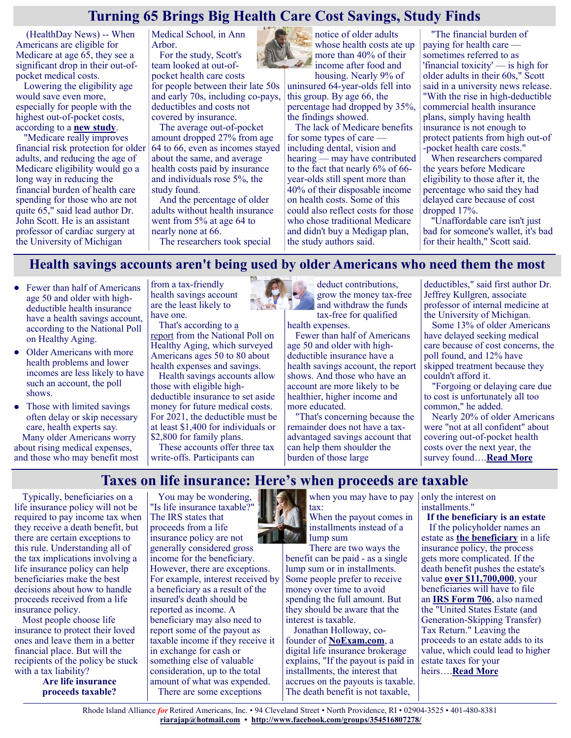### **Turning 65 Brings Big Health Care Cost Savings, Study Finds**

(HealthDay News) -- When Americans are eligible for Medicare at age 65, they see a significant drop in their out-ofpocket medical costs.

Lowering the eligibility age would save even more, especially for people with the highest out-of-pocket costs, according to a **[new study](https://jamanetwork.com/journals/jama-health-forum/fullarticle/2784105)**.

"Medicare really improves financial risk protection for older adults, and reducing the age of Medicare eligibility would go a long way in reducing the financial burden of health care spending for those who are not quite 65," said lead author Dr. John Scott. He is an assistant professor of cardiac surgery at the University of Michigan

Medical School, in Ann Arbor.

For the study, Scott's team looked at out-ofpocket health care costs for people between their late 50s and early 70s, including co-pays, deductibles and costs not covered by insurance.

The average out-of-pocket amount dropped 27% from age 64 to 66, even as incomes stayed about the same, and average health costs paid by insurance and individuals rose 5%, the study found.

And the percentage of older adults without health insurance went from 5% at age 64 to nearly none at 66.

The researchers took special



notice of older adults whose health costs ate up more than 40% of their income after food and housing. Nearly 9% of

uninsured 64-year-olds fell into this group. By age 66, the percentage had dropped by 35%, the findings showed.

The lack of Medicare benefits for some types of care including dental, vision and hearing — may have contributed to the fact that nearly 6% of 66 year-olds still spent more than 40% of their disposable income on health costs. Some of this could also reflect costs for those who chose traditional Medicare and didn't buy a Medigap plan, the study authors said.

"The financial burden of paying for health care sometimes referred to as 'financial toxicity' — is high for older adults in their 60s," Scott said in a university news release. "With the rise in high-deductible commercial health insurance plans, simply having health insurance is not enough to protect patients from high out-of -pocket health care costs."

When researchers compared the years before Medicare eligibility to those after it, the percentage who said they had delayed care because of cost dropped 17%.

"Unaffordable care isn't just bad for someone's wallet, it's bad for their health," Scott said.

#### **Health savings accounts aren't being used by older Americans who need them the most**

- Fewer than half of Americans age 50 and older with highdeductible health insurance have a health savings account, according to the National Poll on Healthy Aging.
- Older Americans with more health problems and lower incomes are less likely to have such an account, the poll shows.
- Those with limited savings often delay or skip necessary care, health experts say.

Many older Americans worry about rising medical expenses, and those who may benefit most

from a tax-friendly health savings account are the least likely to have one.

That's according to [a](https://www.healthyagingpoll.org/reports-more/report/saving-future-health-care-expenses)  [report](https://www.healthyagingpoll.org/reports-more/report/saving-future-health-care-expenses) from the National Poll on Healthy Aging, which surveyed Americans ages 50 to 80 about

health expenses and savings. Health savings accounts allow those with eligible highdeductible insurance to set aside money for future medical costs. For 2021, the deductible must be at least \$1,400 for individuals or

\$2,800 for family plans. These accounts offer three tax write-offs. Participants can



deduct contributions, grow the money tax-free and withdraw the funds tax-free for qualified

health expenses.

Fewer than half of Americans age 50 and older with highdeductible insurance have a health savings account, the report shows. And those who have an account are more likely to be healthier, higher income and more educated.

"That's concerning because the remainder does not have a taxadvantaged savings account that can help them shoulder the burden of those large

deductibles," said first author Dr. Jeffrey Kullgren, associate professor of internal medicine at the University of Michigan.

Some 13% of older Americans have delayed seeking medical care because of cost concerns, the poll found, and 12% have skipped treatment because they couldn't afford it.

"Forgoing or delaying care due to cost is unfortunately all too common," he added.

Nearly 20% of older Americans were "not at all confident" about covering out-of-pocket health costs over the next year, the survey found….**[Read More](https://www.msn.com/en-us/money/personalfinance/health-savings-accounts-aren-t-being-used-by-older-americans-who-need-them-the-most/ar-AAOypP5?ocid=SK2DDHP)**

#### **Taxes on life insurance: Here's when proceeds are taxable**

Typically, beneficiaries on a life insurance policy will not be required to pay income tax when they receive a death benefit, but there are certain exceptions to this rule. Understanding all of the tax implications involving a life insurance policy can help beneficiaries make the best decisions about how to handle proceeds received from a life insurance policy.

Most people choose life insurance to protect their loved ones and leave them in a better financial place. But will the recipients of the policy be stuck with a tax liability?

**Are life insurance proceeds taxable?**

You may be wondering, "Is life insurance taxable?" The [IRS states](https://www.irs.gov/faqs/interest-dividends-other-types-of-income/life-insurance-disability-insurance-proceeds) that proceeds from a life insurance policy are not generally considered gross income for the beneficiary. However, there are exceptions. For example, interest received by a beneficiary as a result of the insured's death should be reported as income. A beneficiary may also need to report some of the payout as taxable income if they receive it in exchange for cash or something else of valuable consideration, up to the total amount of what was expended. There are some exceptions



when you may have to pay tax:

When the payout comes in installments instead of a lump sum

There are two ways the benefit can be paid - as a single lump sum or in installments. Some people prefer to receive money over time to avoid spending the full amount. But they should be aware that the interest is taxable.

Jonathan Holloway, cofounder of **[NoExam.com](https://www.noexam.com/)**, a digital life insurance brokerage explains, "If the payout is paid in installments, the interest that accrues on the payouts is taxable. The death benefit is not taxable,

only the interest on installments."

**If the beneficiary is an estate** If the policyholder names an estate as **[the beneficiary](https://www.bankrate.com/insurance/life-insurance/life-insurance-beneficiary/)** in a life insurance policy, the process gets more complicated. If the death benefit pushes the estate's value **[over \\$11,700,000](https://www.irs.gov/businesses/small-businesses-self-employed/estate-tax)**, your beneficiaries will have to file an **[IRS Form 706](https://www.irs.gov/pub/irs-pdf/f706.pdf)**, also named the "United States Estate (and Generation-Skipping Transfer) Tax Return." Leaving the proceeds to an estate adds to its value, which could lead to higher estate taxes for your heirs….**[Read More](https://www.msn.com/en-us/money/personalfinance/taxes-on-life-insurance-here-s-when-proceeds-are-taxable/ar-AAOtuQO?ocid=SK2DDHP)**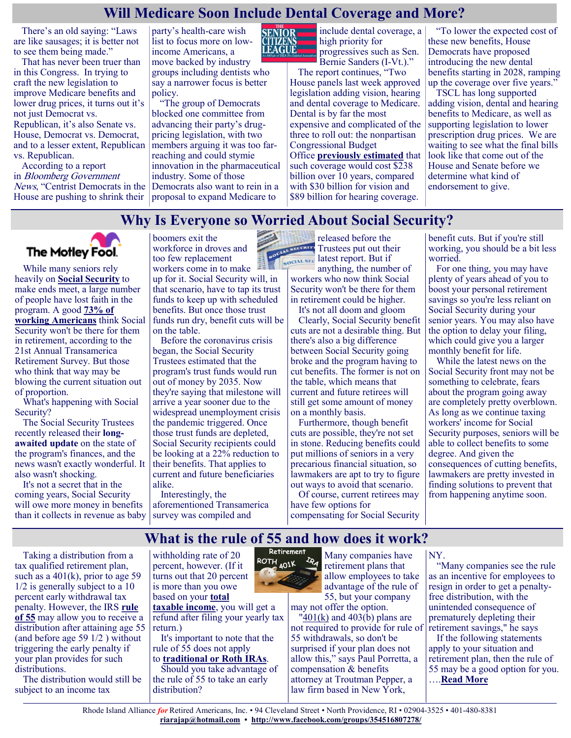# **Will Medicare Soon Include Dental Coverage and More?**

There's an old saying: "Laws are like sausages; it is better not to see them being made."

That has never been truer than in this Congress. In trying to craft the new legislation to improve Medicare benefits and lower drug prices, it turns out it's not just Democrat vs. Republican, it's also Senate vs. House, Democrat vs. Democrat, and to a lesser extent, Republican vs. Republican.

According to a report in Bloomberg Government News, "Centrist Democrats in the House are pushing to shrink their

party's health-care wish list to focus more on lowincome Americans, a move backed by industry groups including dentists who say a narrower focus is better policy.

"The group of Democrats blocked one committee from advancing their party's drugpricing legislation, with two members arguing it was too farreaching and could stymie innovation in the pharmaceutical industry. Some of those Democrats also want to rein in a proposal to expand Medicare to



SENIOR include dental coverage, a high priority for progressives such as Sen. Bernie Sanders (I-Vt.)."

The report continues, "Two House panels last week approved legislation adding vision, hearing and dental coverage to Medicare. Dental is by far the most expensive and complicated of the three to roll out: the nonpartisan Congressional Budget Office **[previously estimated](https://www.cbo.gov/system/files/2019-12/hr3_complete.pdf)** that such coverage would cost \$238 billion over 10 years, compared with \$30 billion for vision and \$89 billion for hearing coverage.

"To lower the expected cost of these new benefits, House Democrats have proposed introducing the new dental benefits starting in 2028, ramping up the coverage over five years."

TSCL has long supported adding vision, dental and hearing benefits to Medicare, as well as supporting legislation to lower prescription drug prices. We are waiting to see what the final bills look like that come out of the House and Senate before we determine what kind of endorsement to give.

# **Why Is Everyone so Worried About Social Security?**

The Motley Fool.

While many seniors rely heavily on **[Social Security](https://www.fool.com/retirement/social-security/?utm_source=msnrss&utm_medium=feed&utm_campaign=article&referring_guid=559e0961-a235-41a9-b6a4-ca7413adb6ef)** to make ends meet, a large number of people have lost faith in the program. A good **[73% of](https://www.fool.com/retirement/2021/08/13/73-of-workers-think-social-security-wont-be-there/?utm_source=msnrss&utm_medium=feed&utm_campaign=article&referring_guid=559e0961-a235-41a9-b6a4-ca7413adb6ef)  [working Americans](https://www.fool.com/retirement/2021/08/13/73-of-workers-think-social-security-wont-be-there/?utm_source=msnrss&utm_medium=feed&utm_campaign=article&referring_guid=559e0961-a235-41a9-b6a4-ca7413adb6ef)** think Social Security won't be there for them in retirement, according to the 21st Annual Transamerica Retirement Survey. But those who think that way may be blowing the current situation out of proportion.

What's happening with Social Security?

The Social Security Trustees recently released their **[long](https://www.fool.com/retirement/2021/09/02/social-security-benefit-cuts-could-happen-by-2034/?utm_source=msnrss&utm_medium=feed&utm_campaign=article&referring_guid=559e0961-a235-41a9-b6a4-ca7413adb6ef)[awaited update](https://www.fool.com/retirement/2021/09/02/social-security-benefit-cuts-could-happen-by-2034/?utm_source=msnrss&utm_medium=feed&utm_campaign=article&referring_guid=559e0961-a235-41a9-b6a4-ca7413adb6ef)** on the state of the program's finances, and the news wasn't exactly wonderful. It also wasn't shocking.

It's not a secret that in the coming years, Social Security will owe more money in benefits than it collects in revenue as baby

boomers exit the workforce in droves and too few replacement workers come in to make

up for it. Social Security will, in that scenario, have to tap its trust funds to keep up with scheduled benefits. But once those trust funds run dry, benefit cuts will be on the table.

Before the coronavirus crisis began, the Social Security Trustees estimated that the program's trust funds would run out of money by 2035. Now they're saying that milestone will arrive a year sooner due to the widespread unemployment crisis the pandemic triggered. Once those trust funds are depleted, Social Security recipients could be looking at a 22% reduction to their benefits. That applies to current and future beneficiaries alike.

Interestingly, the aforementioned Transamerica survey was compiled and

released before the **Trustees put out their** social sec latest report. But if

anything, the number of workers who now think Social Security won't be there for them in retirement could be higher.

It's not all doom and gloom Clearly, Social Security benefit cuts are not a desirable thing. But there's also a big difference between Social Security going broke and the program having to cut benefits. The former is not on the table, which means that current and future retirees will still get some amount of money on a monthly basis.

Furthermore, though benefit cuts are possible, they're not set in stone. Reducing benefits could put millions of seniors in a very precarious financial situation, so lawmakers are apt to try to figure out ways to avoid that scenario.

Of course, current retirees may have few options for compensating for Social Security benefit cuts. But if you're still working, you should be a bit less worried.

For one thing, you may have plenty of years ahead of you to boost your personal retirement savings so you're less reliant on Social Security during your senior years. You may also have the option to delay your filing, which could give you a larger [monthly benefit](https://www.fool.com/retirement/2021/09/12/3-ways-to-score-a-higher-social-security-paycheck/?utm_source=msnrss&utm_medium=feed&utm_campaign=article&referring_guid=559e0961-a235-41a9-b6a4-ca7413adb6ef) for life.

While the latest news on the Social Security front may not be something to celebrate, fears about the program going away are completely pretty overblown. As long as we continue taxing workers' income for Social Security purposes, seniors will be able to collect benefits to some degree. And given the consequences of cutting benefits, lawmakers are pretty invested in finding solutions to prevent that from happening anytime soon.

**What is the rule of 55 and how does it work?**

Taking a distribution from a tax qualified retirement plan, such as a  $401(k)$ , prior to age 59 1/2 is generally subject to a 10 percent early withdrawal tax penalty. However, the IRS **[rule](https://www.irs.gov/taxtopics/tc558)  [of 55](https://www.irs.gov/taxtopics/tc558)** may allow you to receive a distribution after attaining age 55 (and before age 59 1/2 ) without triggering the early penalty if your plan provides for such distributions.

The distribution would still be subject to an income tax

withholding rate of 20 percent, however. (If it turns out that 20 percent is more than you owe based on your **[total](https://www.bankrate.com/glossary/t/taxable-income/)** 

**[taxable income](https://www.bankrate.com/glossary/t/taxable-income/)**, you will get a refund after filing your yearly tax return.)

It's important to note that the rule of 55 does not apply to **[traditional or Roth IRAs](https://www.bankrate.com/investing/traditional-ira-vs-roth-ira/)**.

Should you take advantage of the rule of 55 to take an early distribution?



Many companies have retirement plans that allow employees to take advantage of the rule of 55, but your company may not offer the option.

 $"401(k)$  $"401(k)$  and  $403(b)$  plans are not required to provide for rule of 55 withdrawals, so don't be surprised if your plan does not allow this," says Paul Porretta, a compensation & benefits attorney at Troutman Pepper, a law firm based in New York,

NY.

"Many companies see the rule as an incentive for employees to resign in order to get a penaltyfree distribution, with the unintended consequence of prematurely depleting their retirement savings," he says

If the following statements apply to your situation and retirement plan, then the rule of 55 may be a good option for you. ….**[Read More](https://www.msn.com/en-us/money/news/what-is-the-rule-of-55-and-how-does-it-work/ar-AAOu69h?ocid=SK2DDHP)**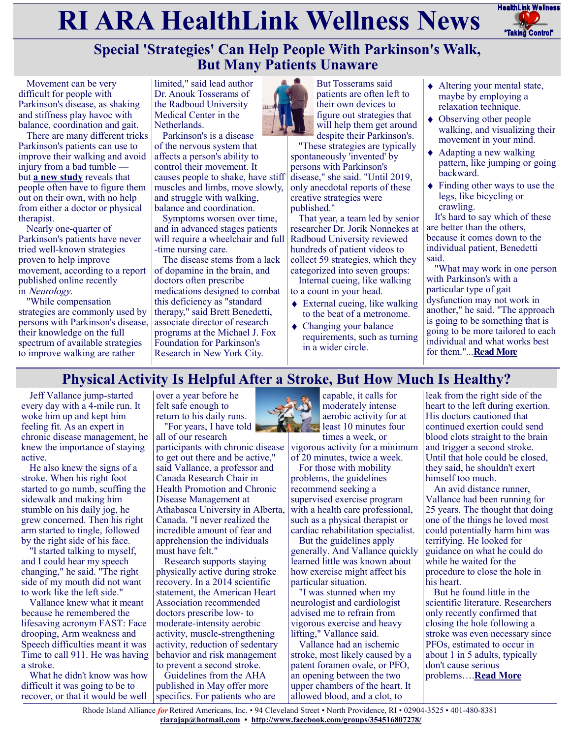# **RI ARA HealthLink Wellness News** Fractific Link Wellness



# **Special 'Strategies' Can Help People With Parkinson's Walk, But Many Patients Unaware**

Movement can be very difficult for people with Parkinson's disease, as shaking and stiffness play havoc with balance, coordination and gait.

There are many different tricks Parkinson's patients can use to improve their walking and avoid injury from a bad tumble but **[a new study](https://n.neurology.org/content/early/2021/09/08/WNL.0000000000012633)** reveals that people often have to figure them out on their own, with no help from either a doctor or physical therapist.

Nearly one-quarter of Parkinson's patients have never tried well-known strategies proven to help improve movement, according to a report published online recently in Neurology.

"While compensation strategies are commonly used by persons with Parkinson's disease, their knowledge on the full spectrum of available strategies to improve walking are rather

limited," said lead author Dr. Anouk Tosserams of the Radboud University Medical Center in the Netherlands.

Parkinson's is a disease of the nervous system that affects a person's ability to control their movement. It causes people to shake, have stiff muscles and limbs, move slowly, and struggle with walking, balance and coordination.

Symptoms worsen over time, and in advanced stages patients will require a wheelchair and full -time nursing care.

The disease stems from a lack of dopamine in the brain, and doctors often prescribe medications designed to combat this deficiency as "standard therapy," said Brett Benedetti, associate director of research programs at the Michael J. Fox Foundation for Parkinson's Research in New York City.



But Tosserams said patients are often left to their own devices to figure out strategies that will help them get around despite their Parkinson's.

"These strategies are typically spontaneously 'invented' by persons with Parkinson's disease," she said. "Until 2019, only anecdotal reports of these creative strategies were published."

That year, a team led by senior researcher Dr. Jorik Nonnekes at Radboud University reviewed hundreds of patient videos to collect 59 strategies, which they categorized into seven groups: Internal cueing, like walking

to a count in your head.

- External cueing, like walking to the beat of a metronome.
- Changing your balance requirements, such as turning in a wider circle.
- ◆ Altering your mental state, maybe by employing a relaxation technique.
- ◆ Observing other people walking, and visualizing their movement in your mind.
- $\triangle$  Adapting a new walking pattern, like jumping or going backward.
- $\triangle$  Finding other ways to use the legs, like bicycling or crawling.

It's hard to say which of these are better than the others, because it comes down to the individual patient, Benedetti said.

"What may work in one person with Parkinson's with a particular type of gait dysfunction may not work in another," he said. "The approach is going to be something that is going to be more tailored to each individual and what works best for them."...**[Read More](https://consumer.healthday.com/9-16-special-strategies-can-help-people-with-parkinson-s-walk-easier-but-many-patients-unaware-2654953381.html)**

# **Physical Activity Is Helpful After a Stroke, But How Much Is Healthy?**

Jeff Vallance jump-started every day with a 4-mile run. It woke him up and kept him feeling fit. As an expert in chronic disease management, he knew the importance of staying active.

He also knew the signs of a stroke. When his right foot started to go numb, scuffing the sidewalk and making him stumble on his daily jog, he grew concerned. Then his right arm started to tingle, followed by the right side of his face.

"I started talking to myself, and I could hear my speech changing," he said. "The right side of my mouth did not want to work like the left side."

Vallance knew what it meant because he remembered the lifesaving acronym FAST: Face drooping, Arm weakness and Speech difficulties meant it was Time to call 911. He was having a stroke.

What he didn't know was how difficult it was going to be to recover, or that it would be well over a year before he felt safe enough to return to his daily runs. "For years, I have told

all of our research participants with chronic disease

to get out there and be active," said Vallance, a professor and Canada Research Chair in Health Promotion and Chronic Disease Management at Athabasca University in Alberta, Canada. "I never realized the incredible amount of fear and apprehension the individuals must have felt."

Research supports staying physically active during stroke recovery. In a 2014 scientific statement, the American Heart Association recommended doctors prescribe low- to moderate-intensity aerobic activity, muscle-strengthening activity, reduction of sedentary behavior and risk management to prevent a second stroke.

Guidelines from the AHA published in May offer more specifics. For patients who are



capable, it calls for moderately intense aerobic activity for at least 10 minutes four times a week, or

vigorous activity for a minimum of 20 minutes, twice a week.

For those with mobility problems, the guidelines recommend seeking a supervised exercise program with a health care professional, such as a physical therapist or cardiac rehabilitation specialist.

But the guidelines apply generally. And Vallance quickly learned little was known about how exercise might affect his particular situation.

"I was stunned when my neurologist and cardiologist advised me to refrain from vigorous exercise and heavy lifting," Vallance said.

Vallance had an ischemic stroke, most likely caused by a patent foramen ovale, or PFO, an opening between the two upper chambers of the heart. It allowed blood, and a clot, to

leak from the right side of the heart to the left during exertion. His doctors cautioned that continued exertion could send blood clots straight to the brain and trigger a second stroke. Until that hole could be closed, they said, he shouldn't exert himself too much.

An avid distance runner, Vallance had been running for 25 years. The thought that doing one of the things he loved most could potentially harm him was terrifying. He looked for guidance on what he could do while he waited for the procedure to close the hole in his heart.

But he found little in the scientific literature. Researchers only recently confirmed that closing the hole following a stroke was even necessary since PFOs, estimated to occur in about 1 in 5 adults, typically don't cause serious problems….**[Read More](https://consumer.healthday.com/aha-news-physical-activity-is-helpful-after-a-stroke-but-how-much-is-healthy-2655044038.html)**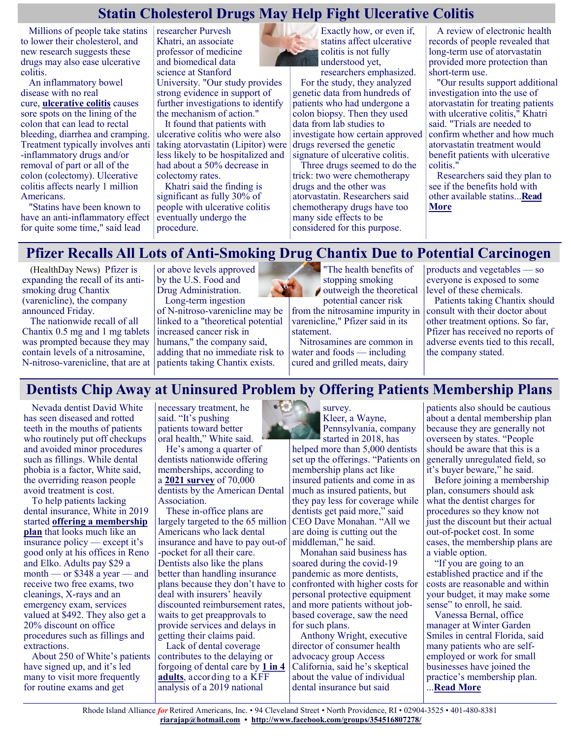# **Statin Cholesterol Drugs May Help Fight Ulcerative Colitis**

Millions of people take statins to lower their cholesterol, and new research suggests these drugs may also ease ulcerative colitis.

An inflammatory bowel disease with no real cure, **[ulcerative colitis](https://dxvh5yymvfz9v.cloudfront.net/docs/patients/UC_guidebook.pdf)** causes sore spots on the lining of the colon that can lead to rectal bleeding, diarrhea and cramping. Treatment typically involves anti -inflammatory drugs and/or removal of part or all of the colon (colectomy). Ulcerative colitis affects nearly 1 million Americans.

"Statins have been known to have an anti-inflammatory effect for quite some time," said lead

researcher Purvesh Khatri, an associate professor of medicine and biomedical data science at Stanford University. "Our study provides strong evidence in support of further investigations to identify the mechanism of action."

It found that patients with ulcerative colitis who were also taking atorvastatin (Lipitor) were less likely to be hospitalized and had about a 50% decrease in colectomy rates.

Khatri said the finding is significant as fully 30% of people with ulcerative colitis eventually undergo the procedure.



researchers emphasized. For the study, they analyzed genetic data from hundreds of patients who had undergone a colon biopsy. Then they used data from lab studies to investigate how certain approved drugs reversed the genetic signature of ulcerative colitis.

Three drugs seemed to do the trick: two were chemotherapy drugs and the other was atorvastatin. Researchers said chemotherapy drugs have too many side effects to be considered for this purpose.

A review of electronic health records of people revealed that long-term use of atorvastatin provided more protection than short-term use.

"Our results support additional investigation into the use of atorvastatin for treating patients with ulcerative colitis," Khatri said. "Trials are needed to confirm whether and how much atorvastatin treatment would benefit patients with ulcerative colitis."

Researchers said they plan to see if the benefits hold with other available statins...**[Read](https://consumer.healthday.com/9-14-statin-cholesterol-drugs-may-help-fight-ulcerative-colitis-2654955805.html)  [More](https://consumer.healthday.com/9-14-statin-cholesterol-drugs-may-help-fight-ulcerative-colitis-2654955805.html)**

### **Pfizer Recalls All Lots of Anti-Smoking Drug Chantix Due to Potential Carcinogen**

(HealthDay News) Pfizer is expanding the recall of its antismoking drug Chantix (varenicline), the company announced Friday.

The nationwide recall of all Chantix 0.5 mg and 1 mg tablets was prompted because they may contain levels of a nitrosamine, N-nitroso-varenicline, that are at

or above levels approved by the U.S. Food and Drug Administration.

Long-term ingestion of N-nitroso-varenicline may be linked to a "theoretical potential increased cancer risk in humans," the company said, adding that no immediate risk to patients taking Chantix exists.



from the nitrosamine impurity in varenicline," Pfizer said in its statement.

Nitrosamines are common in water and foods — including cured and grilled meats, dairy

products and vegetables — so everyone is exposed to some level of these chemicals.

Patients taking Chantix should consult with their doctor about other treatment options. So far, Pfizer has received no reports of adverse events tied to this recall, the company stated.

# **Dentists Chip Away at Uninsured Problem by Offering Patients Membership Plans**

Nevada dentist David White has seen diseased and rotted teeth in the mouths of patients who routinely put off checkups and avoided minor procedures such as fillings. While dental phobia is a factor, White said, the overriding reason people avoid treatment is cost.

To help patients lacking dental insurance, White in 2019 started **[offering a membership](https://member.kleer.com/?slug=RP5H)  [plan](https://member.kleer.com/?slug=RP5H)** that looks much like an insurance policy — except it's good only at his offices in Reno and Elko. Adults pay \$29 a month — or \$348 a year — and receive two free exams, two cleanings, X-rays and an emergency exam, services valued at \$492. They also get a 20% discount on office procedures such as fillings and extractions.

About 250 of White's patients have signed up, and it's led many to visit more frequently for routine exams and get

necessary treatment, he said. "It's pushing patients toward better oral health," White said.

He's among a quarter of dentists nationwide offering memberships, according to a **[2021 survey](https://surveys.ada.org/reports/RC/public/YWRhc3VydmV5cy02MGM3OTJjY2IxNTYxMDAwMGY2MDZlNjEtVVJfM3BaeGhzWm12TnNMdjB4)** of 70,000 dentists by the American Dental Association.

These in-office plans are largely targeted to the 65 million Americans who lack dental insurance and have to pay out-of -pocket for all their care. Dentists also like the plans better than handling insurance plans because they don't have to deal with insurers' heavily discounted reimbursement rates, waits to get preapprovals to provide services and delays in getting their claims paid.

Lack of dental coverage contributes to the delaying or forgoing of dental care by **[1 in 4](https://www.healthsystemtracker.org/chart-collection/cost-affect-access-care/#item-costaccesstocare_6)  [adults](https://www.healthsystemtracker.org/chart-collection/cost-affect-access-care/#item-costaccesstocare_6)**, according to a KFF analysis of a 2019 national

survey. Kleer, a Wayne,

Pennsylvania, company started in 2018, has helped more than 5,000 dentists set up the offerings. "Patients on membership plans act like insured patients and come in as much as insured patients, but they pay less for coverage while dentists get paid more," said CEO Dave Monahan. "All we are doing is cutting out the middleman," he said.

Monahan said business has soared during the covid-19 pandemic as more dentists, confronted with higher costs for personal protective equipment and more patients without jobbased coverage, saw the need for such plans.

Anthony Wright, executive director of consumer health advocacy group Access California, said he's skeptical about the value of individual dental insurance but said

patients also should be cautious about a dental membership plan because they are generally not overseen by states. "People should be aware that this is a generally unregulated field, so it's buyer beware," he said.

Before joining a membership plan, consumers should ask what the dentist charges for procedures so they know not just the discount but their actual out-of-pocket cost. In some cases, the membership plans are a viable option.

"If you are going to an established practice and if the costs are reasonable and within your budget, it may make some sense" to enroll, he said.

Vanessa Bernal, office manager at Winter Garden Smiles in central Florida, said many patients who are selfemployed or work for small businesses have joined the practice's membership plan. ...**[Read More](https://khn.org/news/article/dentists-chip-away-at-uninsured-problem-by-offering-patients-membership-plans/)**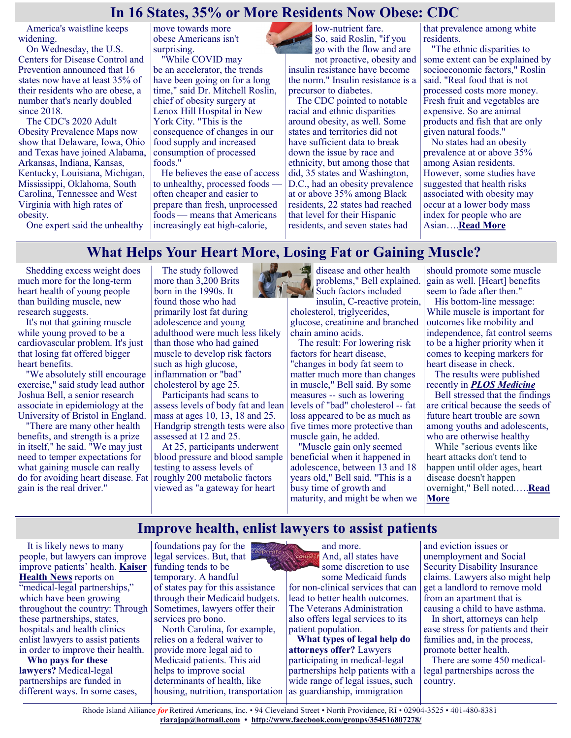#### **In 16 States, 35% or More Residents Now Obese: CDC**

America's waistline keeps widening.

On Wednesday, the U.S. Centers for Disease Control and Prevention announced that 16 states now have at least 35% of their residents who are obese, a number that's nearly doubled since 2018.

The CDC's 2020 Adult Obesity Prevalence Maps now show that Delaware, Iowa, Ohio and Texas have joined Alabama, Arkansas, Indiana, Kansas, Kentucky, Louisiana, Michigan, Mississippi, Oklahoma, South Carolina, Tennessee and West Virginia with high rates of obesity.

One expert said the unhealthy

move towards more obese Americans isn't surprising.

"While COVID may be an accelerator, the trends have been going on for a long time," said Dr. Mitchell Roslin, chief of obesity surgery at Lenox Hill Hospital in New York City. "This is the consequence of changes in our food supply and increased consumption of processed foods."

He believes the ease of access to unhealthy, processed foods often cheaper and easier to prepare than fresh, unprocessed foods — means that Americans increasingly eat high-calorie,

low-nutrient fare. So, said Roslin, "if you go with the flow and are not proactive, obesity and insulin resistance have become the norm." Insulin resistance is a precursor to diabetes.

The CDC pointed to notable racial and ethnic disparities around obesity, as well. Some states and territories did not have sufficient data to break down the issue by race and ethnicity, but among those that did, 35 states and Washington, D.C., had an obesity prevalence at or above 35% among Black residents, 22 states had reached that level for their Hispanic residents, and seven states had

that prevalence among white residents.

"The ethnic disparities to some extent can be explained by socioeconomic factors," Roslin said. "Real food that is not processed costs more money. Fresh fruit and vegetables are expensive. So are animal products and fish that are only given natural foods."

No states had an obesity prevalence at or above 35% among Asian residents. However, some studies have suggested that health risks associated with obesity may occur at a lower body mass index for people who are Asian….**[Read More](https://consumer.healthday.com/b-9-16-in-16-states-35-or-more-residents-now-obese-cdc-2655032760.html)**

# **What Helps Your Heart More, Losing Fat or Gaining Muscle?**

Shedding excess weight does much more for the long-term heart health of young people than building muscle, new research suggests.

It's not that gaining muscle while young proved to be a cardiovascular problem. It's just that losing fat offered bigger heart benefits.

"We absolutely still encourage exercise," said study lead author Joshua Bell, a senior research associate in epidemiology at the University of Bristol in England.

"There are many other health benefits, and strength is a prize in itself," he said. "We may just need to temper expectations for what gaining muscle can really do for avoiding heart disease. Fat gain is the real driver."

The study followed more than 3,200 Brits born in the 1990s. It found those who had primarily lost fat during adolescence and young adulthood were much less likely than those who had gained muscle to develop risk factors such as high glucose, inflammation or "bad" cholesterol by age 25.

Participants had scans to assess levels of body fat and lean mass at ages 10, 13, 18 and 25. Handgrip strength tests were also assessed at 12 and 25.

At 25, participants underwent blood pressure and blood sample testing to assess levels of roughly 200 metabolic factors viewed as "a gateway for heart



disease and other health problems," Bell explained. Such factors included

insulin, C-reactive protein, cholesterol, triglycerides, glucose, creatinine and branched chain amino acids.

The result: For lowering risk factors for heart disease, "changes in body fat seem to matter much more than changes in muscle," Bell said. By some measures -- such as lowering levels of "bad" cholesterol -- fat loss appeared to be as much as five times more protective than muscle gain, he added.

"Muscle gain only seemed beneficial when it happened in adolescence, between 13 and 18 years old," Bell said. "This is a busy time of growth and maturity, and might be when we

should promote some muscle gain as well. [Heart] benefits seem to fade after then."

His bottom-line message: While muscle is important for outcomes like mobility and independence, fat control seems to be a higher priority when it comes to keeping markers for heart disease in check.

The results were published recently in *[PLOS Medicine](https://journals.plos.org/plosmedicine/article?id=10.1371/journal.pmed.1003751)*

Bell stressed that the findings are critical because the seeds of future heart trouble are sown among youths and adolescents, who are otherwise healthy

While "serious events like heart attacks don't tend to happen until older ages, heart disease doesn't happen overnight," Bell noted.….**[Read](https://consumer.healthday.com/9-16-what-helps-your-heart-most-losing-fat-or-gaining-muscle-2655008981.html)  [More](https://consumer.healthday.com/9-16-what-helps-your-heart-most-losing-fat-or-gaining-muscle-2655008981.html)**

### **Improve health, enlist lawyers to assist patients**

It is likely news to many people, but lawyers can improve improve patients' health. **[Kaiser](https://khn.org/news/article/medical-clinics-hire-lawyers-to-improve-patient-health/)  [Health News](https://khn.org/news/article/medical-clinics-hire-lawyers-to-improve-patient-health/)** reports on "medical-legal partnerships," which have been growing throughout the country: Through these partnerships, states, hospitals and health clinics enlist lawyers to assist patients in order to improve their health.

**Who pays for these lawyers?** Medical-legal partnerships are funded in different ways. In some cases,

foundations pay for the **Soperate** legal services. But, that funding tends to be temporary. A handful of states pay for this assistance through their Medicaid budgets. Sometimes, lawyers offer their services pro bono.

North Carolina, for example, relies on a federal waiver to provide more legal aid to Medicaid patients. This aid helps to improve social determinants of health, like housing, nutrition, transportation as guardianship, immigration

and more. connec And, all states have some discretion to use some Medicaid funds for non-clinical services that can lead to better health outcomes. The Veterans Administration also offers legal services to its patient population.

**What types of legal help do attorneys offer?** Lawyers participating in medical-legal partnerships help patients with a wide range of legal issues, such

and eviction issues or unemployment and Social Security Disability Insurance claims. Lawyers also might help get a landlord to remove mold from an apartment that is causing a child to have asthma.

In short, attorneys can help ease stress for patients and their families and, in the process, promote better health.

There are some 450 medicallegal partnerships across the country.